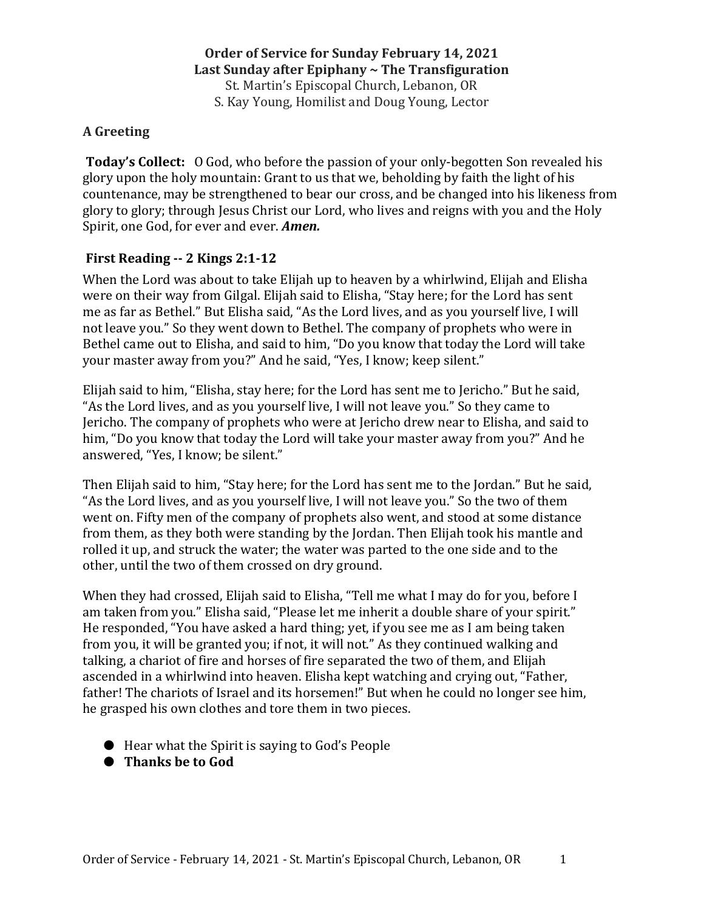**Order of Service for Sunday February 14, 2021 Last Sunday after Epiphany ~ The Transfiguration** St. Martin's Episcopal Church, Lebanon, OR S. Kay Young, Homilist and Doug Young, Lector

## **A Greeting**

**Today's Collect:** O God, who before the passion of your only-begotten Son revealed his glory upon the holy mountain: Grant to us that we, beholding by faith the light of his countenance, may be strengthened to bear our cross, and be changed into his likeness from glory to glory; through Jesus Christ our Lord, who lives and reigns with you and the Holy Spirit, one God, for ever and ever. *Amen.*

#### **First Reading -- 2 Kings 2:1-12**

When the Lord was about to take Elijah up to heaven by a whirlwind, Elijah and Elisha were on their way from Gilgal. Elijah said to Elisha, "Stay here; for the Lord has sent me as far as Bethel." But Elisha said, "As the Lord lives, and as you yourself live, I will not leave you." So they went down to Bethel. The company of prophets who were in Bethel came out to Elisha, and said to him, "Do you know that today the Lord will take your master away from you?" And he said, "Yes, I know; keep silent."

Elijah said to him, "Elisha, stay here; for the Lord has sent me to Jericho." But he said, "As the Lord lives, and as you yourself live, I will not leave you." So they came to Jericho. The company of prophets who were at Jericho drew near to Elisha, and said to him, "Do you know that today the Lord will take your master away from you?" And he answered, "Yes, I know; be silent."

Then Elijah said to him, "Stay here; for the Lord has sent me to the Jordan." But he said, "As the Lord lives, and as you yourself live, I will not leave you." So the two of them went on. Fifty men of the company of prophets also went, and stood at some distance from them, as they both were standing by the Jordan. Then Elijah took his mantle and rolled it up, and struck the water; the water was parted to the one side and to the other, until the two of them crossed on dry ground.

When they had crossed, Elijah said to Elisha, "Tell me what I may do for you, before I am taken from you." Elisha said, "Please let me inherit a double share of your spirit." He responded, "You have asked a hard thing; yet, if you see me as I am being taken from you, it will be granted you; if not, it will not." As they continued walking and talking, a chariot of fire and horses of fire separated the two of them, and Elijah ascended in a whirlwind into heaven. Elisha kept watching and crying out, "Father, father! The chariots of Israel and its horsemen!" But when he could no longer see him, he grasped his own clothes and tore them in two pieces.

- Hear what the Spirit is saying to God's People
- **Thanks be to God**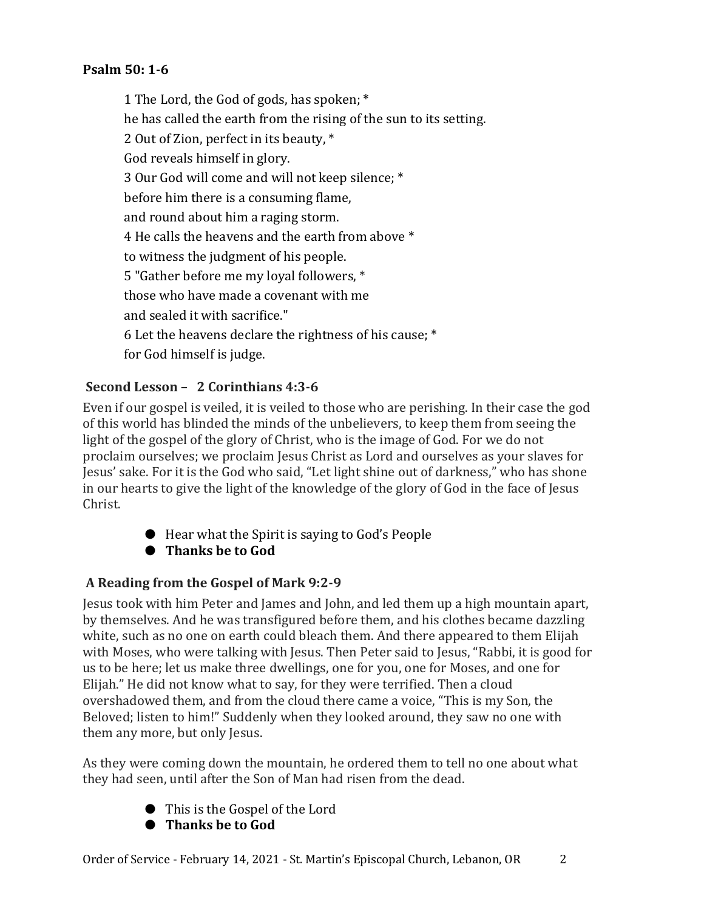## **Psalm 50: 1-6**

1 The Lord, the God of gods, has spoken; \* he has called the earth from the rising of the sun to its setting. 2 Out of Zion, perfect in its beauty, \* God reveals himself in glory. 3 Our God will come and will not keep silence; \* before him there is a consuming flame, and round about him a raging storm. 4 He calls the heavens and the earth from above \* to witness the judgment of his people. 5 "Gather before me my loyal followers, \* those who have made a covenant with me and sealed it with sacrifice." 6 Let the heavens declare the rightness of his cause; \* for God himself is judge.

# **Second Lesson – 2 Corinthians 4:3-6**

Even if our gospel is veiled, it is veiled to those who are perishing. In their case the god of this world has blinded the minds of the unbelievers, to keep them from seeing the light of the gospel of the glory of Christ, who is the image of God. For we do not proclaim ourselves; we proclaim Jesus Christ as Lord and ourselves as your slaves for Jesus' sake. For it is the God who said, "Let light shine out of darkness," who has shone in our hearts to give the light of the knowledge of the glory of God in the face of Jesus Christ.

- Hear what the Spirit is saying to God's People
- **Thanks be to God**

# **A Reading from the Gospel of Mark 9:2-9**

Jesus took with him Peter and James and John, and led them up a high mountain apart, by themselves. And he was transfigured before them, and his clothes became dazzling white, such as no one on earth could bleach them. And there appeared to them Elijah with Moses, who were talking with Jesus. Then Peter said to Jesus, "Rabbi, it is good for us to be here; let us make three dwellings, one for you, one for Moses, and one for Elijah." He did not know what to say, for they were terrified. Then a cloud overshadowed them, and from the cloud there came a voice, "This is my Son, the Beloved; listen to him!" Suddenly when they looked around, they saw no one with them any more, but only Jesus.

As they were coming down the mountain, he ordered them to tell no one about what they had seen, until after the Son of Man had risen from the dead.

- This is the Gospel of the Lord
- **Thanks be to God**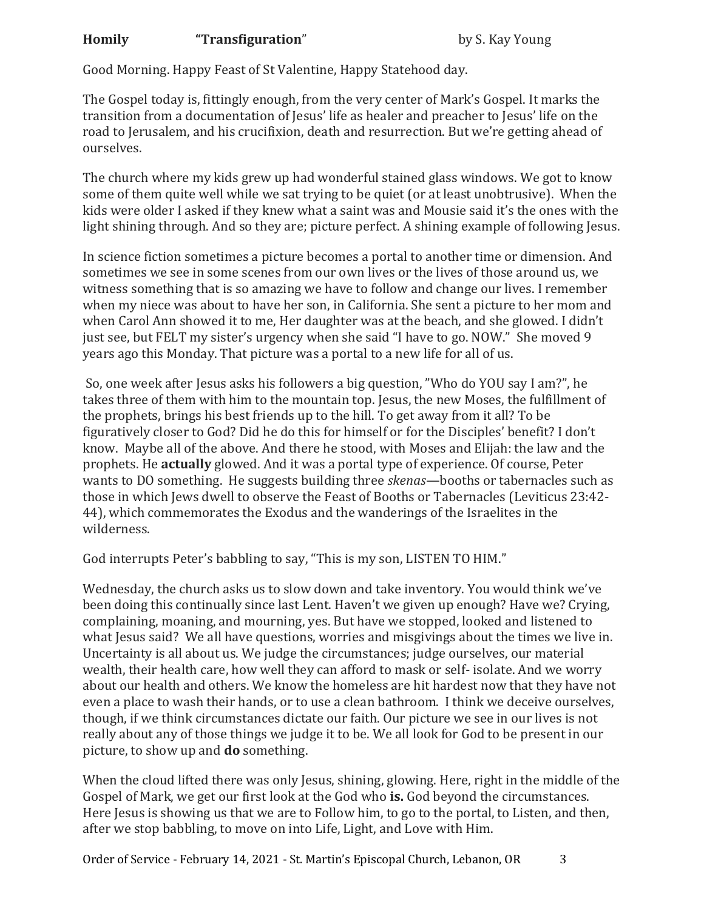### **Homily "Transfiguration**" by S. Kay Young

Good Morning. Happy Feast of St Valentine, Happy Statehood day.

The Gospel today is, fittingly enough, from the very center of Mark's Gospel. It marks the transition from a documentation of Jesus' life as healer and preacher to Jesus' life on the road to Jerusalem, and his crucifixion, death and resurrection. But we're getting ahead of ourselves.

The church where my kids grew up had wonderful stained glass windows. We got to know some of them quite well while we sat trying to be quiet (or at least unobtrusive). When the kids were older I asked if they knew what a saint was and Mousie said it's the ones with the light shining through. And so they are; picture perfect. A shining example of following Jesus.

In science fiction sometimes a picture becomes a portal to another time or dimension. And sometimes we see in some scenes from our own lives or the lives of those around us, we witness something that is so amazing we have to follow and change our lives. I remember when my niece was about to have her son, in California. She sent a picture to her mom and when Carol Ann showed it to me, Her daughter was at the beach, and she glowed. I didn't just see, but FELT my sister's urgency when she said "I have to go. NOW." She moved 9 years ago this Monday. That picture was a portal to a new life for all of us.

So, one week after Jesus asks his followers a big question, "Who do YOU say I am?", he takes three of them with him to the mountain top. Jesus, the new Moses, the fulfillment of the prophets, brings his best friends up to the hill. To get away from it all? To be figuratively closer to God? Did he do this for himself or for the Disciples' benefit? I don't know. Maybe all of the above. And there he stood, with Moses and Elijah: the law and the prophets. He **actually** glowed. And it was a portal type of experience. Of course, Peter wants to DO something. He suggests building three *skenas*—booths or tabernacles such as those in which Jews dwell to observe the Feast of Booths or Tabernacles (Leviticus 23:42- 44), which commemorates the Exodus and the wanderings of the Israelites in the wilderness.

God interrupts Peter's babbling to say, "This is my son, LISTEN TO HIM."

Wednesday, the church asks us to slow down and take inventory. You would think we've been doing this continually since last Lent. Haven't we given up enough? Have we? Crying, complaining, moaning, and mourning, yes. But have we stopped, looked and listened to what Jesus said? We all have questions, worries and misgivings about the times we live in. Uncertainty is all about us. We judge the circumstances; judge ourselves, our material wealth, their health care, how well they can afford to mask or self- isolate. And we worry about our health and others. We know the homeless are hit hardest now that they have not even a place to wash their hands, or to use a clean bathroom. I think we deceive ourselves, though, if we think circumstances dictate our faith. Our picture we see in our lives is not really about any of those things we judge it to be. We all look for God to be present in our picture, to show up and **do** something.

When the cloud lifted there was only Jesus, shining, glowing. Here, right in the middle of the Gospel of Mark, we get our first look at the God who **is.** God beyond the circumstances. Here Jesus is showing us that we are to Follow him, to go to the portal, to Listen, and then, after we stop babbling, to move on into Life, Light, and Love with Him.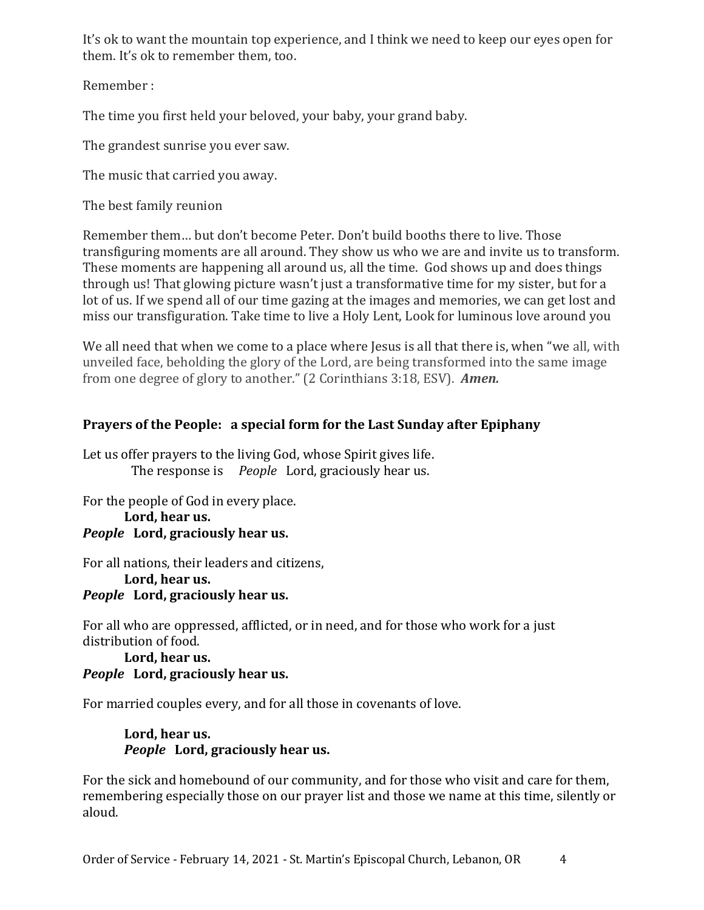It's ok to want the mountain top experience, and I think we need to keep our eyes open for them. It's ok to remember them, too.

Remember :

The time you first held your beloved, your baby, your grand baby.

The grandest sunrise you ever saw.

The music that carried you away.

The best family reunion

Remember them… but don't become Peter. Don't build booths there to live. Those transfiguring moments are all around. They show us who we are and invite us to transform. These moments are happening all around us, all the time. God shows up and does things through us! That glowing picture wasn't just a transformative time for my sister, but for a lot of us. If we spend all of our time gazing at the images and memories, we can get lost and miss our transfiguration. Take time to live a Holy Lent, Look for luminous love around you

We all need that when we come to a place where Jesus is all that there is, when "we all, with unveiled face, beholding the glory of the Lord, are being transformed into the same image from one degree of glory to another." (2 Corinthians 3:18, ESV). *Amen.*

# **Prayers of the People: a special form for the Last Sunday after Epiphany**

Let us offer prayers to the living God, whose Spirit gives life. The response is *People* Lord, graciously hear us.

For the people of God in every place. **Lord, hear us.** *People* **Lord, graciously hear us.**

For all nations, their leaders and citizens,

# **Lord, hear us.**

# *People* **Lord, graciously hear us.**

For all who are oppressed, afflicted, or in need, and for those who work for a just distribution of food.

#### **Lord, hear us.** *People* **Lord, graciously hear us.**

For married couples every, and for all those in covenants of love.

## **Lord, hear us.** *People* **Lord, graciously hear us.**

For the sick and homebound of our community, and for those who visit and care for them, remembering especially those on our prayer list and those we name at this time, silently or aloud.